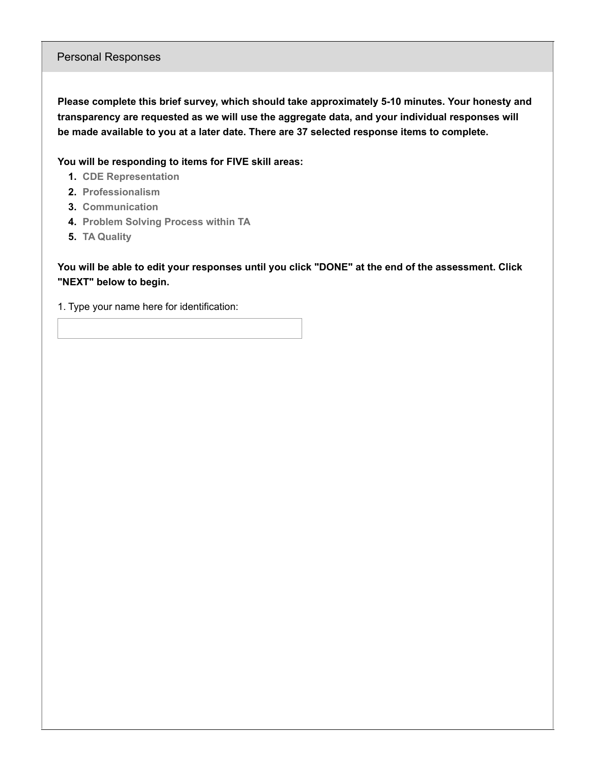## Personal Responses

**Please complete this brief survey, which should take approximately 5-10 minutes. Your honesty and transparency are requested as we will use the aggregate data, and your individual responses will be made available to you at a later date. There are 37 selected response items to complete.**

**You will be responding to items for FIVE skill areas:**

- **1. CDE Representation**
- **2. Professionalism**
- **3. Communication**
- **4. Problem Solving Process within TA**
- **5. TA Quality**

You will be able to edit your responses until you click "DONE" at the end of the assessment. Click **"NEXT" below to begin.**

1. Type your name here for identification: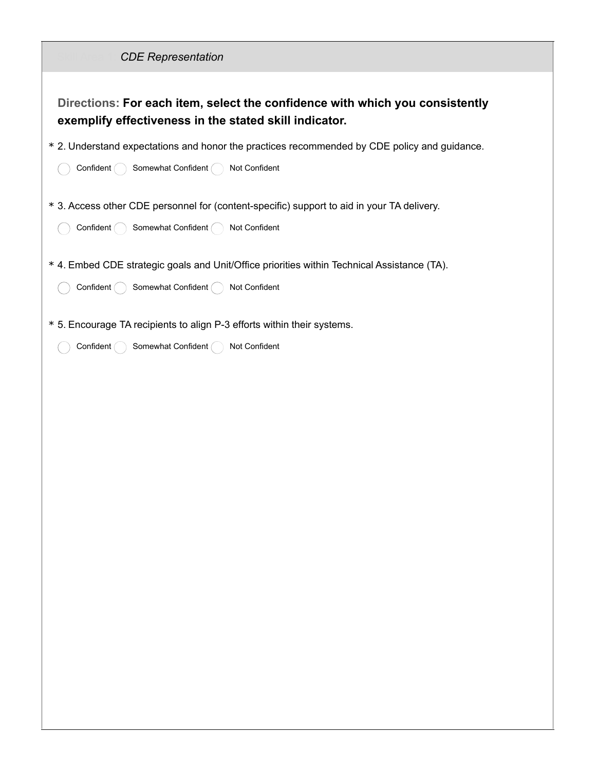| <b>CDE Representation</b>                                                                                                                          |
|----------------------------------------------------------------------------------------------------------------------------------------------------|
| Directions: For each item, select the confidence with which you consistently<br>exemplify effectiveness in the stated skill indicator.             |
| * 2. Understand expectations and honor the practices recommended by CDE policy and guidance.<br>Confident<br>Somewhat Confident (<br>Not Confident |
| * 3. Access other CDE personnel for (content-specific) support to aid in your TA delivery.<br>Confident (<br>Somewhat Confident (<br>Not Confident |
| * 4. Embed CDE strategic goals and Unit/Office priorities within Technical Assistance (TA).<br>Confident<br>Somewhat Confident (<br>Not Confident  |
| * 5. Encourage TA recipients to align P-3 efforts within their systems.<br>Confident<br>Somewhat Confident (<br>Not Confident                      |
|                                                                                                                                                    |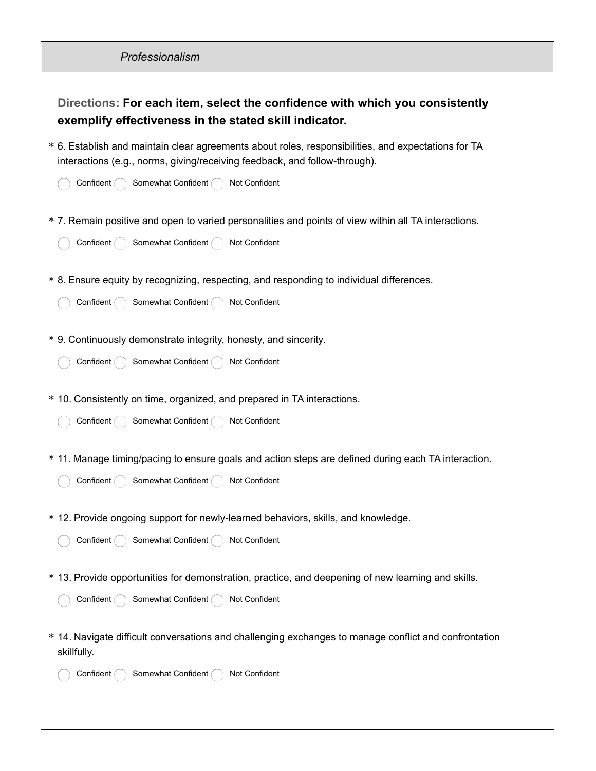| Professionalism                                                                                                                                                                   |
|-----------------------------------------------------------------------------------------------------------------------------------------------------------------------------------|
| Directions: For each item, select the confidence with which you consistently<br>exemplify effectiveness in the stated skill indicator.                                            |
| * 6. Establish and maintain clear agreements about roles, responsibilities, and expectations for TA<br>interactions (e.g., norms, giving/receiving feedback, and follow-through). |
| Somewhat Confident (<br>Not Confident<br>Confident (                                                                                                                              |
| * 7. Remain positive and open to varied personalities and points of view within all TA interactions.<br>Somewhat Confident<br>Not Confident<br>Confident                          |
| * 8. Ensure equity by recognizing, respecting, and responding to individual differences.<br>Somewhat Confident (<br>Not Confident<br>Confident (                                  |
| * 9. Continuously demonstrate integrity, honesty, and sincerity.<br>Somewhat Confident (<br>Confident (<br>Not Confident                                                          |
| * 10. Consistently on time, organized, and prepared in TA interactions.<br>Somewhat Confident (<br>Confident (<br>Not Confident                                                   |
| * 11. Manage timing/pacing to ensure goals and action steps are defined during each TA interaction.<br>Confident ( ) Somewhat Confident ( ) Not Confident                         |
| * 12. Provide ongoing support for newly-learned behaviors, skills, and knowledge.<br>Somewhat Confident<br>Confident<br>Not Confident                                             |
| * 13. Provide opportunities for demonstration, practice, and deepening of new learning and skills.<br>Not Confident<br>Confident<br>Somewhat Confident                            |
| * 14. Navigate difficult conversations and challenging exchanges to manage conflict and confrontation<br>skillfully.                                                              |
| Confident<br>Somewhat Confident<br>Not Confident                                                                                                                                  |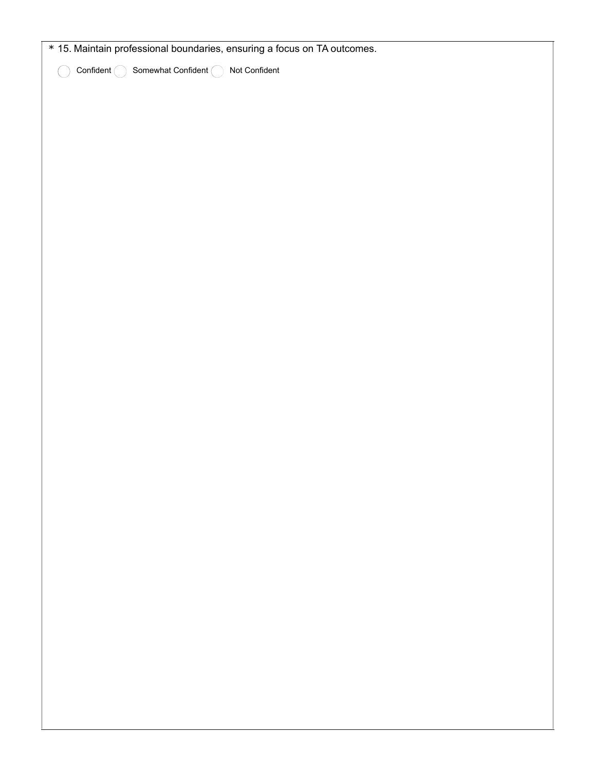| * 15. Maintain professional boundaries, ensuring a focus on TA outcomes. |  |
|--------------------------------------------------------------------------|--|
| Confident $\bigcirc$<br>Somewhat Confident $\bigcap$<br>Not Confident    |  |
|                                                                          |  |
|                                                                          |  |
|                                                                          |  |
|                                                                          |  |
|                                                                          |  |
|                                                                          |  |
|                                                                          |  |
|                                                                          |  |
|                                                                          |  |
|                                                                          |  |
|                                                                          |  |
|                                                                          |  |
|                                                                          |  |
|                                                                          |  |
|                                                                          |  |
|                                                                          |  |
|                                                                          |  |
|                                                                          |  |
|                                                                          |  |
|                                                                          |  |
|                                                                          |  |
|                                                                          |  |
|                                                                          |  |
|                                                                          |  |
|                                                                          |  |
|                                                                          |  |
|                                                                          |  |
|                                                                          |  |
|                                                                          |  |
|                                                                          |  |
|                                                                          |  |
|                                                                          |  |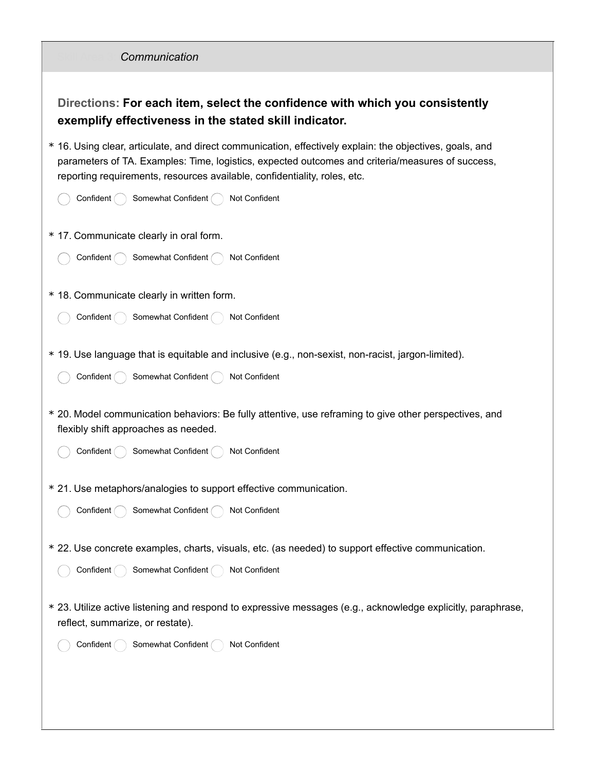| Communication                                                                                                                                                                                                                                                                             |
|-------------------------------------------------------------------------------------------------------------------------------------------------------------------------------------------------------------------------------------------------------------------------------------------|
| Directions: For each item, select the confidence with which you consistently<br>exemplify effectiveness in the stated skill indicator.                                                                                                                                                    |
| * 16. Using clear, articulate, and direct communication, effectively explain: the objectives, goals, and<br>parameters of TA. Examples: Time, logistics, expected outcomes and criteria/measures of success,<br>reporting requirements, resources available, confidentiality, roles, etc. |
| Not Confident<br>Confident<br>Somewhat Confident                                                                                                                                                                                                                                          |
| * 17. Communicate clearly in oral form.                                                                                                                                                                                                                                                   |
| Somewhat Confident (<br>Not Confident<br>Confident                                                                                                                                                                                                                                        |
| * 18. Communicate clearly in written form.                                                                                                                                                                                                                                                |
| Somewhat Confident (<br>Confident<br>Not Confident                                                                                                                                                                                                                                        |
| * 19. Use language that is equitable and inclusive (e.g., non-sexist, non-racist, jargon-limited).                                                                                                                                                                                        |
| Somewhat Confident (<br>Confident (<br>Not Confident                                                                                                                                                                                                                                      |
| * 20. Model communication behaviors: Be fully attentive, use reframing to give other perspectives, and<br>flexibly shift approaches as needed.                                                                                                                                            |
| Somewhat Confident<br>Not Confident<br>Confident                                                                                                                                                                                                                                          |
| * 21. Use metaphors/analogies to support effective communication.                                                                                                                                                                                                                         |
| Somewhat Confident (<br>Not Confident<br>Confident (                                                                                                                                                                                                                                      |
| * 22. Use concrete examples, charts, visuals, etc. (as needed) to support effective communication.                                                                                                                                                                                        |
| Somewhat Confident (<br>Confident (<br>Not Confident                                                                                                                                                                                                                                      |
| * 23. Utilize active listening and respond to expressive messages (e.g., acknowledge explicitly, paraphrase,<br>reflect, summarize, or restate).                                                                                                                                          |
| Somewhat Confident (<br>Not Confident<br>Confident                                                                                                                                                                                                                                        |
|                                                                                                                                                                                                                                                                                           |
|                                                                                                                                                                                                                                                                                           |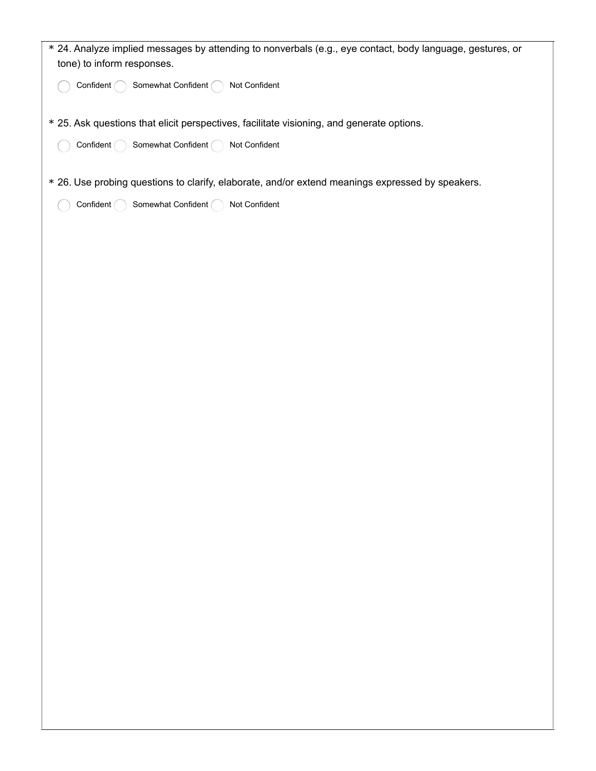| * 24. Analyze implied messages by attending to nonverbals (e.g., eye contact, body language, gestures, or<br>tone) to inform responses. |
|-----------------------------------------------------------------------------------------------------------------------------------------|
| Confident (<br>Somewhat Confident (<br>Not Confident                                                                                    |
| * 25. Ask questions that elicit perspectives, facilitate visioning, and generate options.                                               |
| Somewhat Confident (<br>Confident (<br>Not Confident                                                                                    |
| * 26. Use probing questions to clarify, elaborate, and/or extend meanings expressed by speakers.                                        |
| Somewhat Confident (<br>Not Confident<br>Confident $\bigcap$                                                                            |
|                                                                                                                                         |
|                                                                                                                                         |
|                                                                                                                                         |
|                                                                                                                                         |
|                                                                                                                                         |
|                                                                                                                                         |
|                                                                                                                                         |
|                                                                                                                                         |
|                                                                                                                                         |
|                                                                                                                                         |
|                                                                                                                                         |
|                                                                                                                                         |
|                                                                                                                                         |
|                                                                                                                                         |
|                                                                                                                                         |
|                                                                                                                                         |
|                                                                                                                                         |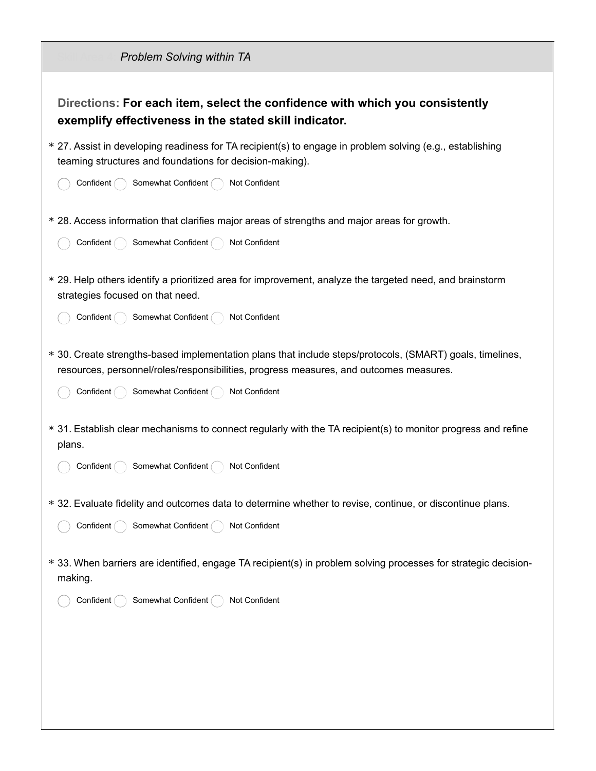| <b>Problem Solving within TA</b>                                                                                                                                                                                                                          |
|-----------------------------------------------------------------------------------------------------------------------------------------------------------------------------------------------------------------------------------------------------------|
| Directions: For each item, select the confidence with which you consistently<br>exemplify effectiveness in the stated skill indicator.                                                                                                                    |
| * 27. Assist in developing readiness for TA recipient(s) to engage in problem solving (e.g., establishing<br>teaming structures and foundations for decision-making).                                                                                     |
| Confident<br>Somewhat Confident<br>Not Confident                                                                                                                                                                                                          |
| * 28. Access information that clarifies major areas of strengths and major areas for growth.<br>Somewhat Confident (<br>Not Confident<br>Confident (                                                                                                      |
| * 29. Help others identify a prioritized area for improvement, analyze the targeted need, and brainstorm<br>strategies focused on that need.                                                                                                              |
| Confident<br>Somewhat Confident<br>Not Confident                                                                                                                                                                                                          |
| * 30. Create strengths-based implementation plans that include steps/protocols, (SMART) goals, timelines,<br>resources, personnel/roles/responsibilities, progress measures, and outcomes measures.<br>Somewhat Confident (<br>Not Confident<br>Confident |
| * 31. Establish clear mechanisms to connect regularly with the TA recipient(s) to monitor progress and refine<br>plans.<br>Somewhat Confident (<br>Not Confident<br>Confident (                                                                           |
| * 32. Evaluate fidelity and outcomes data to determine whether to revise, continue, or discontinue plans.<br>Somewhat Confident (<br>Not Confident<br>Confident (                                                                                         |
| * 33. When barriers are identified, engage TA recipient(s) in problem solving processes for strategic decision-<br>making.                                                                                                                                |
| Somewhat Confident (<br>Not Confident<br>Confident (                                                                                                                                                                                                      |
|                                                                                                                                                                                                                                                           |
|                                                                                                                                                                                                                                                           |
|                                                                                                                                                                                                                                                           |